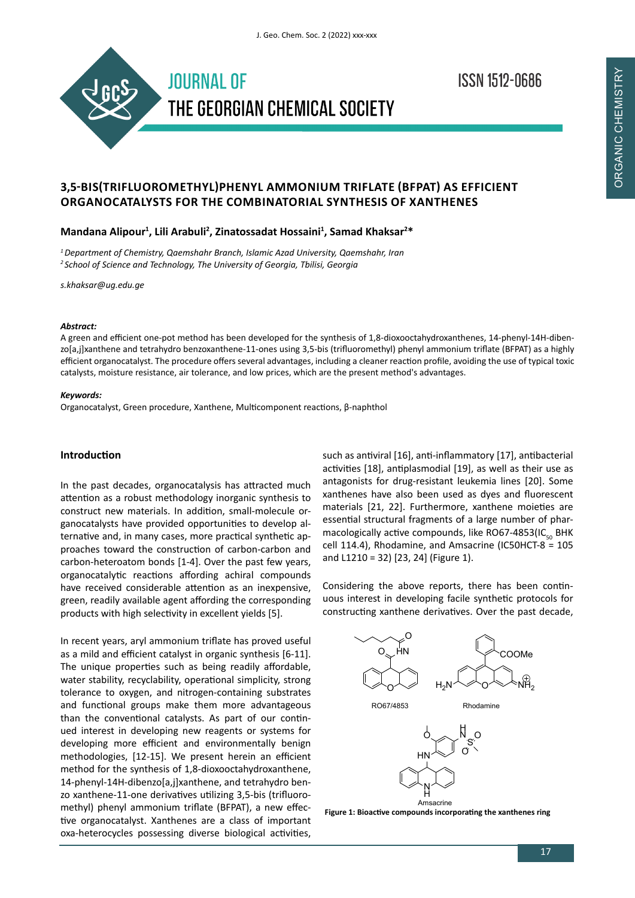

**ISSN 1512-0686** 

# **3,5-BIS(TRIFLUOROMETHYL)PHENYL AMMONIUM TRIFLATE (BFPAT) AS EFFICIENT ORGANOCATALYSTS FOR THE COMBINATORIAL SYNTHESIS OF XANTHENES**

# **Mandana Alipour<sup>1</sup> , Lili Arabuli<sup>2</sup> , Zinatossadat Hossaini<sup>1</sup> , Samad Khaksar<sup>2</sup> \***

*1 Department of Chemistry, Qaemshahr Branch, Islamic Azad University, Qaemshahr, Iran 2 School of Science and Technology, The University of Georgia, Tbilisi, Georgia*

*s.khaksar@ug.edu.ge*

#### *Abstract:*

A green and efficient one-pot method has been developed for the synthesis of 1,8-dioxooctahydroxanthenes, 14-phenyl-14H-dibenzo[a,j]xanthene and tetrahydro benzoxanthene-11-ones using 3,5-bis (trifluoromethyl) phenyl ammonium triflate (BFPAT) as a highly efficient organocatalyst. The procedure offers several advantages, including a cleaner reaction profile, avoiding the use of typical toxic catalysts, moisture resistance, air tolerance, and low prices, which are the present method's advantages.

### *Keywords:*

Organocatalyst, Green procedure, Xanthene, Multicomponent reactions, β-naphthol

# **Introduction**

In the past decades, organocatalysis has attracted much attention as a robust methodology inorganic synthesis to construct new materials. In addition, small-molecule organocatalysts have provided opportunities to develop alternative and, in many cases, more practical synthetic approaches toward the construction of carbon-carbon and carbon-heteroatom bonds [1-4]. Over the past few years, organocatalytic reactions affording achiral compounds have received considerable attention as an inexpensive, green, readily available agent affording the corresponding products with high selectivity in excellent yields [5].

In recent years, aryl ammonium triflate has proved useful as a mild and efficient catalyst in organic synthesis [6-11]. The unique properties such as being readily affordable, water stability, recyclability, operational simplicity, strong tolerance to oxygen, and nitrogen-containing substrates and functional groups make them more advantageous than the conventional catalysts. As part of our continued interest in developing new reagents or systems for developing more efficient and environmentally benign methodologies, [12-15]. We present herein an efficient method for the synthesis of 1,8-dioxooctahydroxanthene, 14-phenyl-14H-dibenzo[a,j]xanthene, and tetrahydro benzo xanthene-11-one derivatives utilizing 3,5-bis (trifluoromethyl) phenyl ammonium triflate (BFPAT), a new effective organocatalyst. Xanthenes are a class of important oxa-heterocycles possessing diverse biological activities,

such as antiviral [16], anti-inflammatory [17], antibacterial activities [18], antiplasmodial [19], as well as their use as antagonists for drug-resistant leukemia lines [20]. Some xanthenes have also been used as dyes and fluorescent materials [21, 22]. Furthermore, xanthene moieties are essential structural fragments of a large number of pharmacologically active compounds, like RO67-4853(IC $_{50}$  BHK cell 114.4), Rhodamine, and Amsacrine (IC50HCT-8 = 105 and L1210 = 32) [23, 24] (Figure 1).

Considering the above reports, there has been continuous interest in developing facile synthetic protocols for constructing xanthene derivatives. Over the past decade,



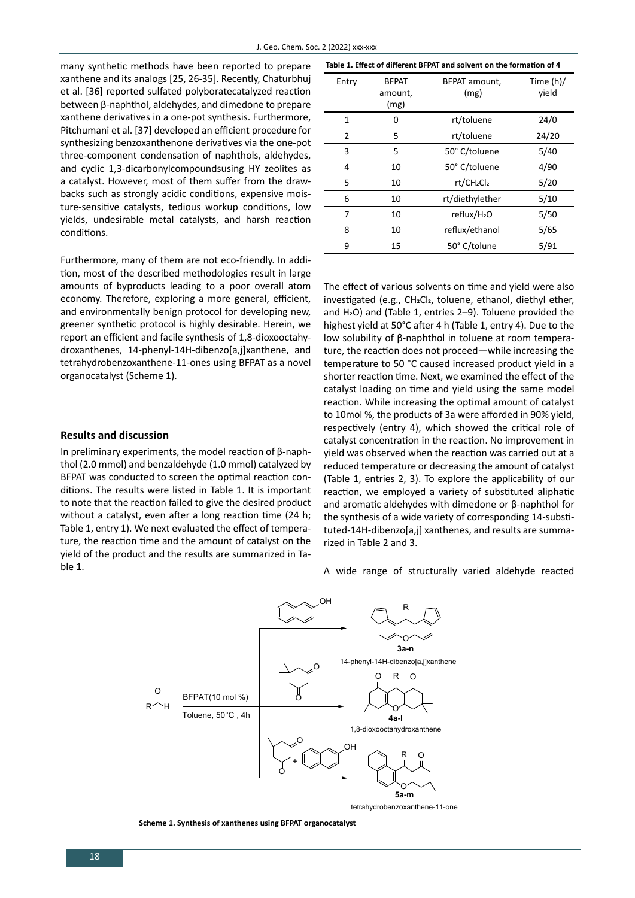many synthetic methods have been reported to prepare xanthene and its analogs [25, 26-35]. Recently, Chaturbhuj et al. [36] reported sulfated polyboratecatalyzed reaction between β-naphthol, aldehydes, and dimedone to prepare xanthene derivatives in a one-pot synthesis. Furthermore, Pitchumani et al. [37] developed an efficient procedure for synthesizing benzoxanthenone derivatives via the one-pot three-component condensation of naphthols, aldehydes, and cyclic 1,3-dicarbonylcompoundsusing HY zeolites as a catalyst. However, most of them suffer from the drawbacks such as strongly acidic conditions, expensive moisture-sensitive catalysts, tedious workup conditions, low yields, undesirable metal catalysts, and harsh reaction conditions.

Furthermore, many of them are not eco-friendly. In addition, most of the described methodologies result in large amounts of byproducts leading to a poor overall atom economy. Therefore, exploring a more general, efficient, and environmentally benign protocol for developing new, greener synthetic protocol is highly desirable. Herein, we report an efficient and facile synthesis of 1,8-dioxooctahydroxanthenes, 14-phenyl-14H-dibenzo[a,j]xanthene, and tetrahydrobenzoxanthene-11-ones using BFPAT as a novel organocatalyst (Scheme 1).

#### **Results and discussion**

In preliminary experiments, the model reaction of β-naphthol (2.0 mmol) and benzaldehyde (1.0 mmol) catalyzed by BFPAT was conducted to screen the optimal reaction conditions. The results were listed in Table 1. It is important to note that the reaction failed to give the desired product without a catalyst, even after a long reaction time (24 h; Table 1, entry 1). We next evaluated the effect of temperature, the reaction time and the amount of catalyst on the yield of the product and the results are summarized in Table 1.

| Table 1. Effect of different BFPAT and solvent on the formation of 4 |                                 |                                    |                      |  |  |  |  |
|----------------------------------------------------------------------|---------------------------------|------------------------------------|----------------------|--|--|--|--|
| Entry                                                                | <b>BFPAT</b><br>amount,<br>(mg) | BFPAT amount,<br>(mg)              | Time $(h)/$<br>vield |  |  |  |  |
| 1                                                                    | o                               | rt/toluene                         | 24/0                 |  |  |  |  |
| 2                                                                    | 5                               | rt/toluene                         | 24/20                |  |  |  |  |
| 3                                                                    | 5                               | 50° C/toluene                      | 5/40                 |  |  |  |  |
| 4                                                                    | 10                              | 50° C/toluene                      | 4/90                 |  |  |  |  |
| 5                                                                    | 10                              | rt/CH <sub>2</sub> Cl <sub>2</sub> | 5/20                 |  |  |  |  |
| 6                                                                    | 10                              | rt/diethylether                    | 5/10                 |  |  |  |  |
| 7                                                                    | 10                              | reflux/H <sub>2</sub> O            | 5/50                 |  |  |  |  |
| 8                                                                    | 10                              | reflux/ethanol                     | 5/65                 |  |  |  |  |
| 9                                                                    | 15                              | 50° C/tolune                       | 5/91                 |  |  |  |  |

The effect of various solvents on time and yield were also investigated (e.g., CH2Cl2, toluene, ethanol, diethyl ether, and H2O) and (Table 1, entries 2–9). Toluene provided the highest yield at 50°C after 4 h (Table 1, entry 4). Due to the low solubility of β-naphthol in toluene at room temperature, the reaction does not proceed—while increasing the temperature to 50 °C caused increased product yield in a shorter reaction time. Next, we examined the effect of the catalyst loading on time and yield using the same model reaction. While increasing the optimal amount of catalyst to 10mol %, the products of 3a were afforded in 90% yield, respectively (entry 4), which showed the critical role of catalyst concentration in the reaction. No improvement in yield was observed when the reaction was carried out at a reduced temperature or decreasing the amount of catalyst (Table 1, entries 2, 3). To explore the applicability of our reaction, we employed a variety of substituted aliphatic and aromatic aldehydes with dimedone or β-naphthol for the synthesis of a wide variety of corresponding 14-substituted-14H-dibenzo[a,j] xanthenes, and results are summarized in Table 2 and 3.

A wide range of structurally varied aldehyde reacted



**Scheme 1. Synthesis of xanthenes using BFPAT organocatalyst**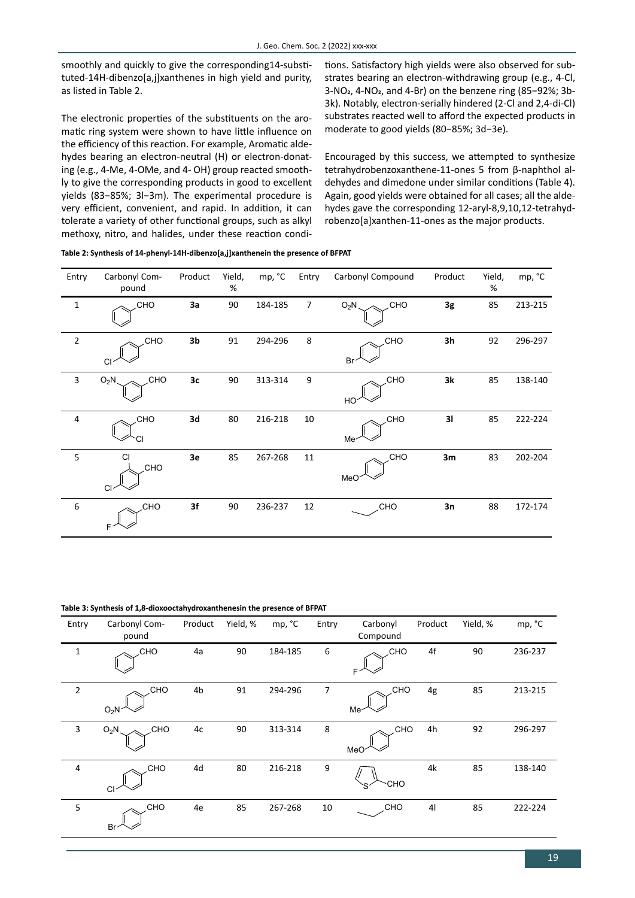smoothly and quickly to give the corresponding14-substituted-14H-dibenzo[a,j]xanthenes in high yield and purity, as listed in Table 2.

The electronic properties of the substituents on the aromatic ring system were shown to have little influence on the efficiency of this reaction. For example, Aromatic aldehydes bearing an electron-neutral (H) or electron-donating (e.g., 4-Me, 4-OMe, and 4- OH) group reacted smoothly to give the corresponding products in good to excellent yields (83−85%; 3l−3m). The experimental procedure is very efficient, convenient, and rapid. In addition, it can tolerate a variety of other functional groups, such as alkyl methoxy, nitro, and halides, under these reaction conditions. Satisfactory high yields were also observed for substrates bearing an electron-withdrawing group (e.g., 4-Cl, 3-NO2, 4-NO2, and 4-Br) on the benzene ring (85−92%; 3b-3k). Notably, electron-serially hindered (2-Cl and 2,4-di-Cl) substrates reacted well to afford the expected products in moderate to good yields (80−85%; 3d−3e).

Encouraged by this success, we attempted to synthesize tetrahydrobenzoxanthene-11-ones 5 from β-naphthol aldehydes and dimedone under similar conditions (Table 4). Again, good yields were obtained for all cases; all the aldehydes gave the corresponding 12-aryl-8,9,10,12-tetrahydrobenzo[a]xanthen-11-ones as the major products.

| Table 2: Synthesis of 14-phenyl-14H-dibenzo[a,j]xanthenein the presence of BFPAT |  |
|----------------------------------------------------------------------------------|--|
|----------------------------------------------------------------------------------|--|

| Entry          | Carbonyl Com-<br>pound | Product | Yield,<br>% | mp, °C  | Entry          | Carbonyl Compound | Product | Yield,<br>% | mp, °C  |
|----------------|------------------------|---------|-------------|---------|----------------|-------------------|---------|-------------|---------|
| $\mathbf{1}$   | CHO                    | 3a      | 90          | 184-185 | $\overline{7}$ | $O_2N$<br>CHO     | 3g      | 85          | 213-215 |
| $\mathbf 2$    | CHO<br>CI              | 3b      | 91          | 294-296 | 8              | CHO<br>Br         | 3h      | 92          | 296-297 |
| 3              | CHO<br>$O_2N$          | 3c      | 90          | 313-314 | 9              | <b>CHO</b><br>HO  | 3k      | 85          | 138-140 |
| $\overline{4}$ | CHO                    | 3d      | 80          | 216-218 | 10             | CHO<br>Me-        | 31      | 85          | 222-224 |
| 5              | <b>CI</b><br>CHO<br>CI | 3e      | 85          | 267-268 | 11             | CHO<br>MeO        | 3m      | 83          | 202-204 |
| 6              | CHO<br>F               | 3f      | 90          | 236-237 | 12             | CHO               | 3n      | 88          | 172-174 |

**Table 3: Synthesis of 1,8-dioxooctahydroxanthenesin the presence of BFPAT**

| Entry          | Carbonyl Com-<br>pound | Product | Yield, % | mp, °C  | Entry | Carbonyl<br>Compound     | Product        | Yield, % | mp, °C  |
|----------------|------------------------|---------|----------|---------|-------|--------------------------|----------------|----------|---------|
| $\mathbf{1}$   | <b>CHO</b>             | 4a      | 90       | 184-185 | 6     | <b>CHO</b><br>F          | 4f             | 90       | 236-237 |
| $\overline{2}$ | <b>CHO</b><br>$O_2N$   | 4b      | 91       | 294-296 | 7     | <b>CHO</b><br>Me-        | 4g             | 85       | 213-215 |
| 3              | $O_2N$<br>CHO          | 4c      | 90       | 313-314 | 8     | <b>CHO</b><br><b>MeO</b> | 4h             | 92       | 296-297 |
| 4              | CHO<br><b>CI</b>       | 4d      | 80       | 216-218 | 9     | <b>CHO</b>               | 4k             | 85       | 138-140 |
| 5              | CHO<br>Br              | 4e      | 85       | 267-268 | 10    | CHO                      | 4 <sub>l</sub> | 85       | 222-224 |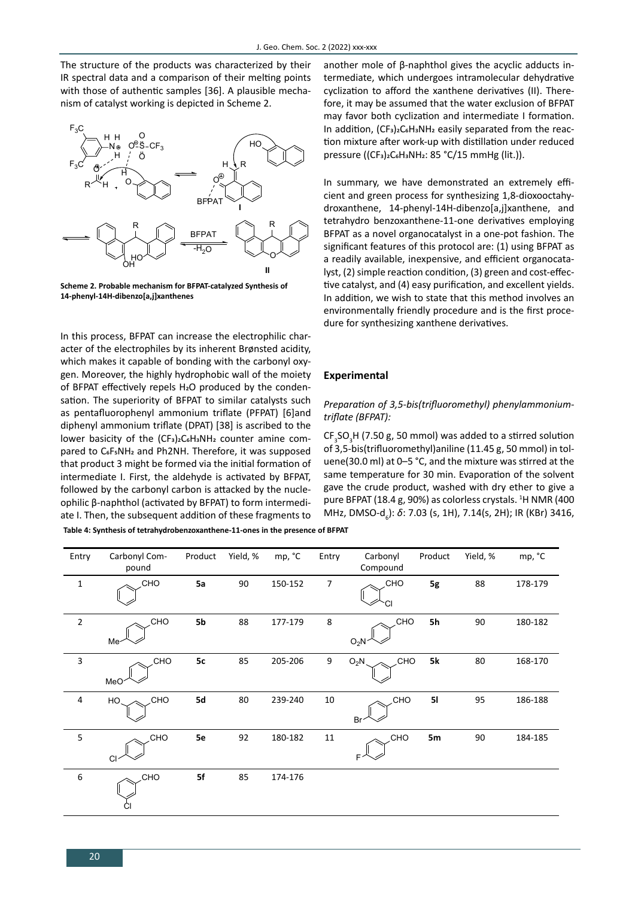The structure of the products was characterized by their IR spectral data and a comparison of their melting points with those of authentic samples [36]. A plausible mechanism of catalyst working is depicted in Scheme 2.



**Scheme 2. Probable mechanism for BFPAT-catalyzed Synthesis of 14-phenyl-14H-dibenzo[a,j]xanthenes**

In this process, BFPAT can increase the electrophilic character of the electrophiles by its inherent Brønsted acidity, which makes it capable of bonding with the carbonyl oxygen. Moreover, the highly hydrophobic wall of the moiety of BFPAT effectively repels H2O produced by the condensation. The superiority of BFPAT to similar catalysts such as pentafluorophenyl ammonium triflate (PFPAT) [6]and diphenyl ammonium triflate (DPAT) [38] is ascribed to the lower basicity of the  $(CF_3)_2C_6H_3NH_2$  counter amine compared to C<sub>6</sub>F<sub>5</sub>NH<sub>2</sub> and Ph2NH. Therefore, it was supposed that product 3 might be formed via the initial formation of intermediate I. First, the aldehyde is activated by BFPAT, followed by the carbonyl carbon is attacked by the nucleophilic β-naphthol (activated by BFPAT) to form intermediate I. Then, the subsequent addition of these fragments to **Table 4: Synthesis of tetrahydrobenzoxanthene-11-ones in the presence of BFPAT**

another mole of β-naphthol gives the acyclic adducts intermediate, which undergoes intramolecular dehydrative cyclization to afford the xanthene derivatives (II). Therefore, it may be assumed that the water exclusion of BFPAT may favor both cyclization and intermediate I formation. In addition, (CF3)2C6H3NH2 easily separated from the reaction mixture after work-up with distillation under reduced pressure ((CF<sub>3</sub>)<sub>2</sub>C<sub>6</sub>H<sub>3</sub>NH<sub>2</sub>: 85 °C/15 mmHg (lit.)).

In summary, we have demonstrated an extremely efficient and green process for synthesizing 1,8-dioxooctahydroxanthene, 14-phenyl-14H-dibenzo[a,j]xanthene, and tetrahydro benzoxanthene-11-one derivatives employing BFPAT as a novel organocatalyst in a one-pot fashion. The significant features of this protocol are: (1) using BFPAT as a readily available, inexpensive, and efficient organocatalyst, (2) simple reaction condition, (3) green and cost-effective catalyst, and (4) easy purification, and excellent yields. In addition, we wish to state that this method involves an environmentally friendly procedure and is the first procedure for synthesizing xanthene derivatives.

### **Experimental**

### *Preparation of 3,5-bis(trifluoromethyl) phenylammoniumtriflate (BFPAT):*

 $CF<sub>3</sub>SO<sub>3</sub>H$  (7.50 g, 50 mmol) was added to a stirred solution of 3,5-bis(trifluoromethyl)aniline (11.45 g, 50 mmol) in toluene(30.0 ml) at 0–5 °C, and the mixture was stirred at the same temperature for 30 min. Evaporation of the solvent gave the crude product, washed with dry ether to give a pure BFPAT (18.4 g, 90%) as colorless crystals. <sup>1</sup>H NMR (400 MHz, DMSO-d<sub>6</sub>): *δ*: 7.03 (s, 1H), 7.14(s, 2H); IR (KBr) 3416,

| Entry                     | Carbonyl Com-<br>pound         | Product | Yield, % | mp, °C  | Entry          | Carbonyl<br>Compound  | Product | Yield, % | mp, °C  |
|---------------------------|--------------------------------|---------|----------|---------|----------------|-----------------------|---------|----------|---------|
| $\mathbf{1}$              | CHO                            | 5a      | 90       | 150-152 | $\overline{7}$ | CHO                   | 5g      | 88       | 178-179 |
| $\overline{2}$            | <b>CHO</b><br>Me <sup>-</sup>  | 5b      | 88       | 177-179 | $\bf 8$        | <b>CHO</b><br>$O_2N$  | 5h      | 90       | 180-182 |
| $\ensuremath{\mathsf{3}}$ | <b>CHO</b><br>MeO <sup>-</sup> | 5c      | 85       | 205-206 | 9              | <b>CHO</b><br>$O_2N$  | 5k      | $80\,$   | 168-170 |
| $\overline{a}$            | CHO<br>HO.                     | 5d      | 80       | 239-240 | $10\,$         | <b>CHO</b><br>Br      | 51      | 95       | 186-188 |
| $\mathsf S$               | <b>CHO</b><br>CI               | 5e      | 92       | 180-182 | $11\,$         | CHO <sub>.</sub><br>F | 5m      | 90       | 184-185 |
| $\boldsymbol{6}$          | <b>CHO</b>                     | 5f      | 85       | 174-176 |                |                       |         |          |         |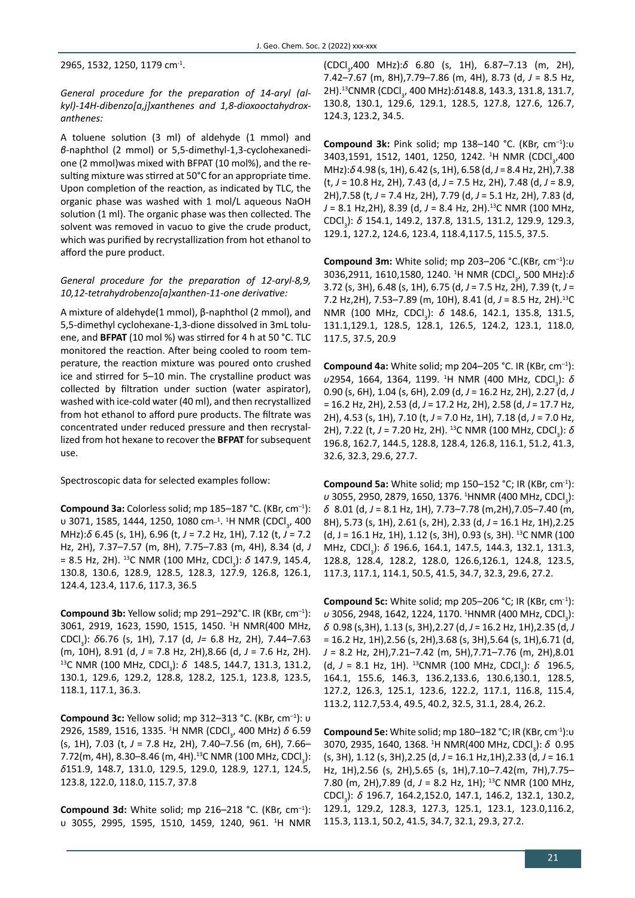2965, 1532, 1250, 1179 cm-1.

*General procedure for the preparation of 14-aryl (alkyl)-14H-dibenzo[a,j]xanthenes and 1,8-dioxooctahydroxanthenes:*

A toluene solution (3 ml) of aldehyde (1 mmol) and *β*-naphthol (2 mmol) or 5,5-dimethyl-1,3-cyclohexanedione (2 mmol)was mixed with BFPAT (10 mol%), and the resulting mixture was stirred at 50°C for an appropriate time. Upon completion of the reaction, as indicated by TLC, the organic phase was washed with 1 mol/L aqueous NaOH solution (1 ml). The organic phase was then collected. The solvent was removed in vacuo to give the crude product, which was purified by recrystallization from hot ethanol to afford the pure product.

### *General procedure for the preparation of 12-aryl-8,9, 10,12-tetrahydrobenzo[a]xanthen-11-one derivative:*

A mixture of aldehyde(1 mmol), β-naphthol (2 mmol), and 5,5-dimethyl cyclohexane-1,3-dione dissolved in 3mL toluene, and **BFPAT** (10 mol %) was stirred for 4 h at 50 °C. TLC monitored the reaction. After being cooled to room temperature, the reaction mixture was poured onto crushed ice and stirred for 5–10 min. The crystalline product was collected by filtration under suction (water aspirator), washed with ice-cold water (40 ml), and then recrystallized from hot ethanol to afford pure products. The filtrate was concentrated under reduced pressure and then recrystallized from hot hexane to recover the **BFPAT** for subsequent use.

Spectroscopic data for selected examples follow:

**Compound 3a:** Colorless solid; mp 185–187 °C. (KBr, cm–1): υ 3071, 1585, 1444, 1250, 1080 cm<sup>\_1</sup>. <sup>1</sup>H NMR (CDCl<sub>3</sub>, 400 MHz):*δ* 6.45 (s, 1H), 6.96 (t, *J* = 7.2 Hz, 1H), 7.12 (t, *J* = 7.2 Hz, 2H), 7.37–7.57 (m, 8H), 7.75–7.83 (m, 4H), 8.34 (d, *J* = 8.5 Hz, 2H). <sup>13</sup>C NMR (100 MHz, CDCl<sub>3</sub>): *δ* 147.9, 145.4, 130.8, 130.6, 128.9, 128.5, 128.3, 127.9, 126.8, 126.1, 124.4, 123.4, 117.6, 117.3, 36.5

**Compound 3b:** Yellow solid; mp 291–292°C. IR (KBr, cm–1): 3061, 2919, 1623, 1590, 1515, 1450. <sup>1</sup> H NMR(400 MHz, CDCl<sub>3</sub>): *δ*6.76 (s, 1H), 7.17 (d, *J=* 6.8 Hz, 2H), 7.44–7.63 (m, 10H), 8.91 (d, *J* = 7.8 Hz, 2H),8.66 (d, *J* = 7.6 Hz, 2H).<br><sup>13</sup>C NMR (100 MHz, CDCl<sub>3</sub>): δ 148.5, 144.7, 131.3, 131.2, 130.1, 129.6, 129.2, 128.8, 128.2, 125.1, 123.8, 123.5, 118.1, 117.1, 36.3.

**Compound 3c:** Yellow solid; mp 312–313 °C. (KBr, cm–1): υ 2926, 1589, 1516, 1335. <sup>1</sup>H NMR (CDCl<sub>3</sub>, 400 MHz) *δ* 6.59 (s, 1H), 7.03 (t, *J* = 7.8 Hz, 2H), 7.40–7.56 (m, 6H), 7.66– 7.72(m, 4H), 8.30–8.46 (m, 4H). $^{13}$ C NMR (100 MHz, CDCl $_{_{3}}$ ): *δ*151.9, 148.7, 131.0, 129.5, 129.0, 128.9, 127.1, 124.5, 123.8, 122.0, 118.0, 115.7, 37.8

**Compound 3d:** White solid; mp 216–218 °C. (KBr, cm–1): υ 3055, 2995, 1595, 1510, 1459, 1240, 961. <sup>1</sup> H NMR (CDCl<sub>3</sub>,400 MHz):*δ* 6.80 (s, 1H), 6.87–7.13 (m, 2H), 7.42–7.67 (m, 8H),7.79–7.86 (m, 4H), 8.73 (d, *J* = 8.5 Hz, 2H).<sup>13</sup>CNMR (CDCl<sub>3</sub>, 400 MHz):*δ*148.8, 143.3, 131.8, 131.7, 130.8, 130.1, 129.6, 129.1, 128.5, 127.8, 127.6, 126.7, 124.3, 123.2, 34.5.

**Compound 3k:** Pink solid; mp 138–140 °C. (KBr, cm–1):υ 3403,1591, 1512, 1401, 1250, 1242. <sup>1</sup>H NMR (CDCl<sub>3</sub>,400 MHz):*δ* 4.98 (s, 1H), 6.42 (s, 1H), 6.58 (d, *J* = 8.4 Hz, 2H),7.38 (t, *J* = 10.8 Hz, 2H), 7.43 (d, *J* = 7.5 Hz, 2H), 7.48 (d, *J* = 8.9, 2H),7.58 (t, *J* = 7.4 Hz, 2H), 7.79 (d, *J* = 5.1 Hz, 2H), 7.83 (d, *J* = 8.1 Hz,2H), 8.39 (d, *J* = 8.4 Hz, 2H).13C NMR (100 MHz, CDCl<sub>3</sub>): *δ* 154.1, 149.2, 137.8, 131.5, 131.2, 129.9, 129.3, 129.1, 127.2, 124.6, 123.4, 118.4,117.5, 115.5, 37.5.

**Compound 3m:** White solid; mp 203–206 °C.(KBr, cm–1):*υ* 3036,2911, 1610,1580, 1240. <sup>1</sup>H NMR (CDCl<sub>3</sub>, 500 MHz):*δ* 3.72 (s, 3H), 6.48 (s, 1H), 6.75 (d, *J* = 7.5 Hz, 2H), 7.39 (t, *J* = 7.2 Hz,2H), 7.53–7.89 (m, 10H), 8.41 (d, *J* = 8.5 Hz, 2H).13C NMR (100 MHz, CDCl<sub>3</sub>): *δ* 148.6, 142.1, 135.8, 131.5, 131.1,129.1, 128.5, 128.1, 126.5, 124.2, 123.1, 118.0, 117.5, 37.5, 20.9

**Compound 4a:** White solid; mp 204–205 °C. IR (KBr, cm–1): υ2954, 1664, 1364, 1199. <sup>1</sup>H NMR (400 MHz, CDCl<sub>3</sub>): *δ* 0.90 (s, 6H), 1.04 (s, 6H), 2.09 (d, *J* = 16.2 Hz, 2H), 2.27 (d, *J*  = 16.2 Hz, 2H), 2.53 (d, *J* = 17.2 Hz, 2H), 2.58 (d, *J* = 17.7 Hz, 2H), 4.53 (s, 1H), 7.10 (t, *J* = 7.0 Hz, 1H), 7.18 (d, *J* = 7.0 Hz, 2H), 7.22 (t, J = 7.20 Hz, 2H). <sup>13</sup>C NMR (100 MHz, CDCl<sub>3</sub>): *δ* 196.8, 162.7, 144.5, 128.8, 128.4, 126.8, 116.1, 51.2, 41.3, 32.6, 32.3, 29.6, 27.7.

**Compound 5a:** White solid; mp 150–152 °C; IR (KBr, cm‑1 ): υ 3055, 2950, 2879, 1650, 1376. <sup>1</sup>HNMR (400 MHz, CDCl<sub>3</sub>): *δ* 8.01 (d, *J* = 8.1 Hz, 1H), 7.73–7.78 (m,2H),7.05–7.40 (m, 8H), 5.73 (s, 1H), 2.61 (s, 2H), 2.33 (d, *J* = 16.1 Hz, 1H),2.25  $(d, J = 16.1$  Hz, 1H), 1.12 (s, 3H), 0.93 (s, 3H). <sup>13</sup>C NMR (100 MHz, CDCl<sub>3</sub>): *δ* 196.6, 164.1, 147.5, 144.3, 132.1, 131.3, 128.8, 128.4, 128.2, 128.0, 126.6,126.1, 124.8, 123.5, 117.3, 117.1, 114.1, 50.5, 41.5, 34.7, 32.3, 29.6, 27.2.

**Compound 5c:** White solid; mp 205–206 °C; IR (KBr, cm‑1 ): υ 3056, 2948, 1642, 1224, 1170. <sup>1</sup>HNMR (400 MHz, CDCl<sub>3</sub>): *δ* 0.98 (s,3H), 1.13 (s, 3H),2.27 (d, *J* = 16.2 Hz, 1H),2.35 (d, *J* = 16.2 Hz, 1H),2.56 (s, 2H),3.68 (s, 3H),5.64 (s, 1H),6.71 (d, *J* = 8.2 Hz, 2H),7.21–7.42 (m, 5H),7.71–7.76 (m, 2H),8.01 (d, J = 8.1 Hz, 1H). <sup>13</sup>CNMR (100 MHz, CDCl<sub>3</sub>): δ 196.5, 164.1, 155.6, 146.3, 136.2,133.6, 130.6,130.1, 128.5, 127.2, 126.3, 125.1, 123.6, 122.2, 117.1, 116.8, 115.4, 113.2, 112.7,53.4, 49.5, 40.2, 32.5, 31.1, 28.4, 26.2.

**Compound 5e:** White solid; mp 180–182 °C; IR (KBr, cm-1):υ 3070, 2935, 1640, 1368. <sup>1</sup>H NMR(400 MHz, CDCl<sub>3</sub>): δ 0.95 (s, 3H), 1.12 (s, 3H),2.25 (d, *J* = 16.1 Hz,1H),2.33 (d, *J* = 16.1 Hz, 1H),2.56 (s, 2H),5.65 (s, 1H),7.10–7.42(m, 7H),7.75– 7.80 (m, 2H),7.89 (d, *J* = 8.2 Hz, 1H); 13C NMR (100 MHz, CDCl<sub>3</sub>): *δ* 196.7, 164.2,152.0, 147.1, 146.2, 132.1, 130.2, 129.1, 129.2, 128.3, 127.3, 125.1, 123.1, 123.0,116.2, 115.3, 113.1, 50.2, 41.5, 34.7, 32.1, 29.3, 27.2.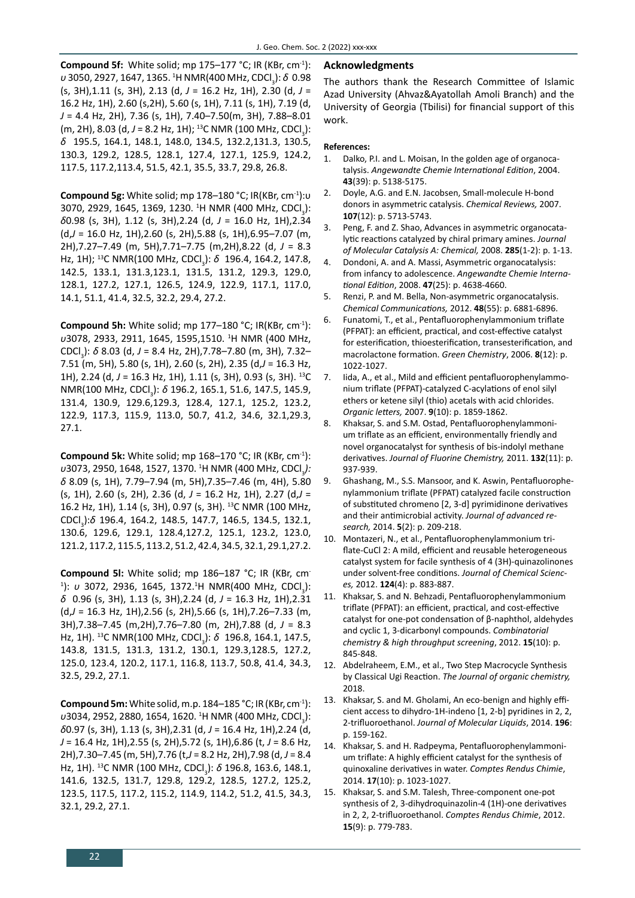**Compound 5f:** White solid; mp 175–177 °C; IR (KBr, cm<sup>-1</sup>): υ 3050, 2927, 1647, 1365. <sup>1</sup>H NMR(400 MHz, CDCl<sub>3</sub>): *δ* 0.98 (s, 3H),1.11 (s, 3H), 2.13 (d, *J* = 16.2 Hz, 1H), 2.30 (d, *J* = 16.2 Hz, 1H), 2.60 (s,2H), 5.60 (s, 1H), 7.11 (s, 1H), 7.19 (d, *J* = 4.4 Hz, 2H), 7.36 (s, 1H), 7.40–7.50(m, 3H), 7.88–8.01 (m, 2H), 8.03 (d, J = 8.2 Hz, 1H); <sup>13</sup>C NMR (100 MHz, CDCl<sub>3</sub>): *δ* 195.5, 164.1, 148.1, 148.0, 134.5, 132.2,131.3, 130.5, 130.3, 129.2, 128.5, 128.1, 127.4, 127.1, 125.9, 124.2, 117.5, 117.2,113.4, 51.5, 42.1, 35.5, 33.7, 29.8, 26.8.

**Compound 5g:** White solid; mp 178–180 °C; IR(KBr, cm-1):υ 3070, 2929, 1645, 1369, 1230. <sup>1</sup>H NMR (400 MHz, CDCl<sub>3</sub>): *δ*0.98 (s, 3H), 1.12 (s, 3H),2.24 (d, *J* = 16.0 Hz, 1H),2.34 (d,*J* = 16.0 Hz, 1H),2.60 (s, 2H),5.88 (s, 1H),6.95–7.07 (m, 2H),7.27–7.49 (m, 5H),7.71–7.75 (m,2H),8.22 (d, *J* = 8.3 Hz, 1H); <sup>13</sup>C NMR(100 MHz, CDCl<sub>3</sub>): δ 196.4, 164.2, 147.8, 142.5, 133.1, 131.3,123.1, 131.5, 131.2, 129.3, 129.0, 128.1, 127.2, 127.1, 126.5, 124.9, 122.9, 117.1, 117.0, 14.1, 51.1, 41.4, 32.5, 32.2, 29.4, 27.2.

**Compound 5h:** White solid; mp 177–180 °C; IR(KBr, cm-1): *υ*3078, 2933, 2911, 1645, 1595,1510. <sup>1</sup> H NMR (400 MHz, CDCl<sub>3</sub>): *δ* 8.03 (d, *J* = 8.4 Hz, 2H),7.78–7.80 (m, 3H), 7.32– 7.51 (m, 5H), 5.80 (s, 1H), 2.60 (s, 2H), 2.35 (d,*J* = 16.3 Hz, 1H), 2.24 (d, *J* = 16.3 Hz, 1H), 1.11 (s, 3H), 0.93 (s, 3H). 13C NMR(100 MHz, CDCl<sub>3</sub>): *δ* 196.2, 165.1, 51.6, 147.5, 145.9, 131.4, 130.9, 129.6,129.3, 128.4, 127.1, 125.2, 123.2, 122.9, 117.3, 115.9, 113.0, 50.7, 41.2, 34.6, 32.1,29.3, 27.1.

**Compound 5k:** White solid; mp 168–170 °C; IR (KBr, cm<sup>-1</sup>): υ3073, 2950, 1648, 1527, 1370. <sup>1</sup>H NMR (400 MHz, CDCl<sub>3</sub>): *δ* 8.09 (s, 1H), 7.79–7.94 (m, 5H),7.35–7.46 (m, 4H), 5.80 (s, 1H), 2.60 (s, 2H), 2.36 (d, *J* = 16.2 Hz, 1H), 2.27 (d,*J* = 16.2 Hz, 1H), 1.14 (s, 3H), 0.97 (s, 3H). 13C NMR (100 MHz, CDCl<sub>3</sub>):*δ* 196.4, 164.2, 148.5, 147.7, 146.5, 134.5, 132.1, 130.6, 129.6, 129.1, 128.4,127.2, 125.1, 123.2, 123.0, 121.2, 117.2, 115.5, 113.2, 51.2, 42.4, 34.5, 32.1, 29.1,27.2.

**Compound 5l:** White solid; mp 186–187 °C; IR (KBr, cm-1): *υ* 3072, 2936, 1645, 1372.<sup>1</sup>H NMR(400 MHz, CDCl<sub>3</sub>): *δ* 0.96 (s, 3H), 1.13 (s, 3H),2.24 (d, *J* = 16.3 Hz, 1H),2.31 (d,*J* = 16.3 Hz, 1H),2.56 (s, 2H),5.66 (s, 1H),7.26–7.33 (m, 3H),7.38–7.45 (m,2H),7.76–7.80 (m, 2H),7.88 (d, *J* = 8.3 Hz, 1H). <sup>13</sup>C NMR(100 MHz, CDCl<sub>3</sub>): δ 196.8, 164.1, 147.5, 143.8, 131.5, 131.3, 131.2, 130.1, 129.3,128.5, 127.2, 125.0, 123.4, 120.2, 117.1, 116.8, 113.7, 50.8, 41.4, 34.3, 32.5, 29.2, 27.1.

**Compound 5m:** White solid, m.p. 184–185 °C; IR (KBr, cm-1): υ3034, 2952, 2880, 1654, 1620. <sup>1</sup>Η NMR (400 MHz, CDCl<sub>3</sub>): *δ*0.97 (s, 3H), 1.13 (s, 3H),2.31 (d, *J* = 16.4 Hz, 1H),2.24 (d, *J* = 16.4 Hz, 1H),2.55 (s, 2H),5.72 (s, 1H),6.86 (t, *J* = 8.6 Hz, 2H),7.30–7.45 (m, 5H),7.76 (t,*J* = 8.2 Hz, 2H),7.98 (d, *J* = 8.4 Hz, 1H). <sup>13</sup>C NMR (100 MHz, CDCl<sub>3</sub>): *δ* 196.8, 163.6, 148.1, 141.6, 132.5, 131.7, 129.8, 129.2, 128.5, 127.2, 125.2, 123.5, 117.5, 117.2, 115.2, 114.9, 114.2, 51.2, 41.5, 34.3, 32.1, 29.2, 27.1.

### **Acknowledgments**

The authors thank the Research Committee of Islamic Azad University (Ahvaz&Ayatollah Amoli Branch) and the University of Georgia (Tbilisi) for financial support of this work.

#### **References:**

- 1. Dalko, P.I. and L. Moisan, In the golden age of organocatalysis. *Angewandte Chemie International Edition*, 2004. **43**(39): p. 5138-5175.
- 2. Doyle, A.G. and E.N. Jacobsen, Small-molecule H-bond donors in asymmetric catalysis. *Chemical Reviews,* 2007. **107**(12): p. 5713-5743.
- 3. Peng, F. and Z. Shao, Advances in asymmetric organocatalytic reactions catalyzed by chiral primary amines. *Journal of Molecular Catalysis A: Chemical,* 2008. **285**(1-2): p. 1-13.
- 4. Dondoni, A. and A. Massi, Asymmetric organocatalysis: from infancy to adolescence. *Angewandte Chemie International Edition*, 2008. **47**(25): p. 4638-4660.
- 5. Renzi, P. and M. Bella, Non-asymmetric organocatalysis. *Chemical Communications,* 2012. **48**(55): p. 6881-6896.
- 6. Funatomi, T., et al., Pentafluorophenylammonium triflate (PFPAT): an efficient, practical, and cost-effective catalyst for esterification, thioesterification, transesterification, and macrolactone formation. *Green Chemistry*, 2006. **8**(12): p. 1022-1027.
- 7. Iida, A., et al., Mild and efficient pentafluorophenylammonium triflate (PFPAT)-catalyzed C-acylations of enol silyl ethers or ketene silyl (thio) acetals with acid chlorides. *Organic letters,* 2007. **9**(10): p. 1859-1862.
- 8. Khaksar, S. and S.M. Ostad, Pentafluorophenylammonium triflate as an efficient, environmentally friendly and novel organocatalyst for synthesis of bis-indolyl methane derivatives. *Journal of Fluorine Chemistry,* 2011. **132**(11): p. 937-939.
- 9. Ghashang, M., S.S. Mansoor, and K. Aswin, Pentafluorophenylammonium triflate (PFPAT) catalyzed facile construction of substituted chromeno [2, 3-d] pyrimidinone derivatives and their antimicrobial activity. *Journal of advanced research,* 2014. **5**(2): p. 209-218.
- 10. Montazeri, N., et al., Pentafluorophenylammonium triflate-CuCl 2: A mild, efficient and reusable heterogeneous catalyst system for facile synthesis of 4 (3H)-quinazolinones under solvent-free conditions. *Journal of Chemical Sciences,* 2012. **124**(4): p. 883-887.
- 11. Khaksar, S. and N. Behzadi, Pentafluorophenylammonium triflate (PFPAT): an efficient, practical, and cost-effective catalyst for one-pot condensation of β-naphthol, aldehydes and cyclic 1, 3-dicarbonyl compounds. *Combinatorial chemistry & high throughput screening*, 2012. **15**(10): p. 845-848.
- 12. Abdelraheem, E.M., et al., Two Step Macrocycle Synthesis by Classical Ugi Reaction. *The Journal of organic chemistry,*  2018.
- 13. Khaksar, S. and M. Gholami, An eco-benign and highly efficient access to dihydro-1H-indeno [1, 2-b] pyridines in 2, 2, 2-trifluoroethanol. *Journal of Molecular Liquids*, 2014. **196**: p. 159-162.
- 14. Khaksar, S. and H. Radpeyma, Pentafluorophenylammonium triflate: A highly efficient catalyst for the synthesis of quinoxaline derivatives in water. *Comptes Rendus Chimie*, 2014. **17**(10): p. 1023-1027.
- 15. Khaksar, S. and S.M. Talesh, Three-component one-pot synthesis of 2, 3-dihydroquinazolin-4 (1H)-one derivatives in 2, 2, 2-trifluoroethanol. *Comptes Rendus Chimie*, 2012. **15**(9): p. 779-783.